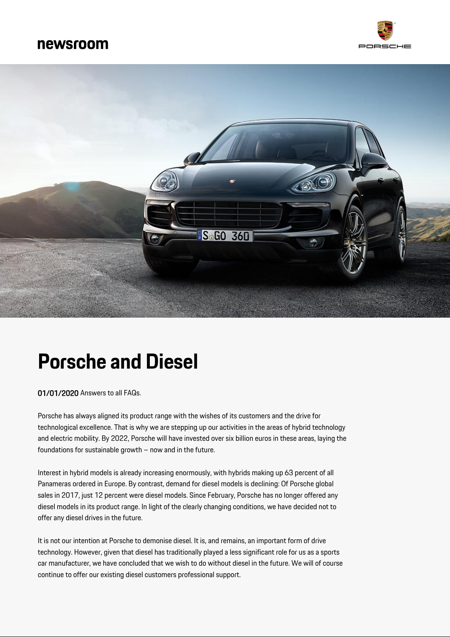



# **Porsche and Diesel**

01/01/2020 Answers to all FAQs.

Porsche has always aligned its product range with the wishes of its customers and the drive for technological excellence. That is why we are stepping up our activities in the areas of hybrid technology and electric mobility. By 2022, Porsche will have invested over six billion euros in these areas, laying the foundations for sustainable growth – now and in the future.

Interest in hybrid models is already increasing enormously, with hybrids making up 63 percent of all Panameras ordered in Europe. By contrast, demand for diesel models is declining: Of Porsche global sales in 2017, just 12 percent were diesel models. Since February, Porsche has no longer offered any diesel models in its product range. In light of the clearly changing conditions, we have decided not to offer any diesel drives in the future.

It is not our intention at Porsche to demonise diesel. It is, and remains, an important form of drive technology. However, given that diesel has traditionally played a less significant role for us as a sports car manufacturer, we have concluded that we wish to do without diesel in the future. We will of course continue to offer our existing diesel customers professional support.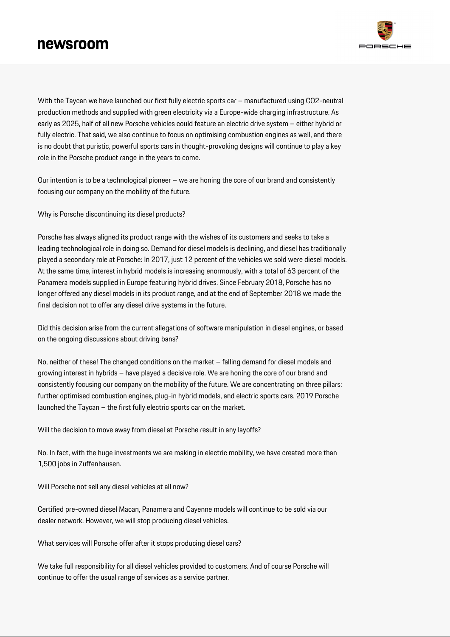

With the Taycan we have launched our first fully electric sports car – manufactured using CO2-neutral production methods and supplied with green electricity via a Europe-wide charging infrastructure. As early as 2025, half of all new Porsche vehicles could feature an electric drive system – either hybrid or fully electric. That said, we also continue to focus on optimising combustion engines as well, and there is no doubt that puristic, powerful sports cars in thought-provoking designs will continue to play a key role in the Porsche product range in the years to come.

Our intention is to be a technological pioneer – we are honing the core of our brand and consistently focusing our company on the mobility of the future.

Why is Porsche discontinuing its diesel products?

Porsche has always aligned its product range with the wishes of its customers and seeks to take a leading technological role in doing so. Demand for diesel models is declining, and diesel has traditionally played a secondary role at Porsche: In 2017, just 12 percent of the vehicles we sold were diesel models. At the same time, interest in hybrid models is increasing enormously, with a total of 63 percent of the Panamera models supplied in Europe featuring hybrid drives. Since February 2018, Porsche has no longer offered any diesel models in its product range, and at the end of September 2018 we made the final decision not to offer any diesel drive systems in the future.

Did this decision arise from the current allegations of software manipulation in diesel engines, or based on the ongoing discussions about driving bans?

No, neither of these! The changed conditions on the market – falling demand for diesel models and growing interest in hybrids – have played a decisive role. We are honing the core of our brand and consistently focusing our company on the mobility of the future. We are concentrating on three pillars: further optimised combustion engines, plug-in hybrid models, and electric sports cars. 2019 Porsche launched the Taycan – the first fully electric sports car on the market.

Will the decision to move away from diesel at Porsche result in any layoffs?

No. In fact, with the huge investments we are making in electric mobility, we have created more than 1,500 jobs in Zuffenhausen.

Will Porsche not sell any diesel vehicles at all now?

Certified pre-owned diesel Macan, Panamera and Cayenne models will continue to be sold via our dealer network. However, we will stop producing diesel vehicles.

What services will Porsche offer after it stops producing diesel cars?

We take full responsibility for all diesel vehicles provided to customers. And of course Porsche will continue to offer the usual range of services as a service partner.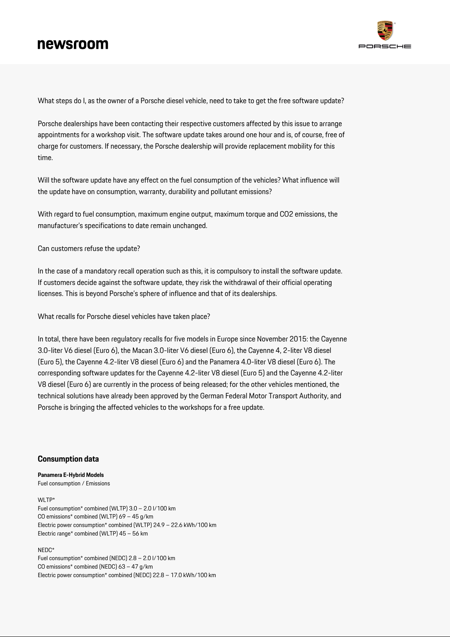

What steps do I, as the owner of a Porsche diesel vehicle, need to take to get the free software update?

Porsche dealerships have been contacting their respective customers affected by this issue to arrange appointments for a workshop visit. The software update takes around one hour and is, of course, free of charge for customers. If necessary, the Porsche dealership will provide replacement mobility for this time.

Will the software update have any effect on the fuel consumption of the vehicles? What influence will the update have on consumption, warranty, durability and pollutant emissions?

With regard to fuel consumption, maximum engine output, maximum torque and CO2 emissions, the manufacturer's specifications to date remain unchanged.

Can customers refuse the update?

In the case of a mandatory recall operation such as this, it is compulsory to install the software update. If customers decide against the software update, they risk the withdrawal of their official operating licenses. This is beyond Porsche's sphere of influence and that of its dealerships.

What recalls for Porsche diesel vehicles have taken place?

In total, there have been regulatory recalls for five models in Europe since November 2015: the Cayenne 3.0-liter V6 diesel (Euro 6), the Macan 3.0-liter V6 diesel (Euro 6), the Cayenne 4, 2-liter V8 diesel (Euro 5), the Cayenne 4.2-liter V8 diesel (Euro 6) and the Panamera 4.0-liter V8 diesel (Euro 6). The corresponding software updates for the Cayenne 4.2-liter V8 diesel (Euro 5) and the Cayenne 4.2-liter V8 diesel (Euro 6) are currently in the process of being released; for the other vehicles mentioned, the technical solutions have already been approved by the German Federal Motor Transport Authority, and Porsche is bringing the affected vehicles to the workshops for a free update.

### **Consumption data**

**Panamera E-Hybrid Models** Fuel consumption / Emissions

#### WI TP\*

Fuel consumption\* combined (WLTP) 3.0 – 2.0 l/100 km CO emissions\* combined (WLTP) 69 – 45 g/km Electric power consumption\* combined (WLTP) 24.9 – 22.6 kWh/100 km Electric range\* combined (WLTP) 45 – 56 km

#### NEDC\*

Fuel consumption\* combined (NEDC) 2.8 – 2.0 l/100 km CO emissions\* combined (NEDC) 63 – 47 g/km Electric power consumption\* combined (NEDC) 22.8 – 17.0 kWh/100 km